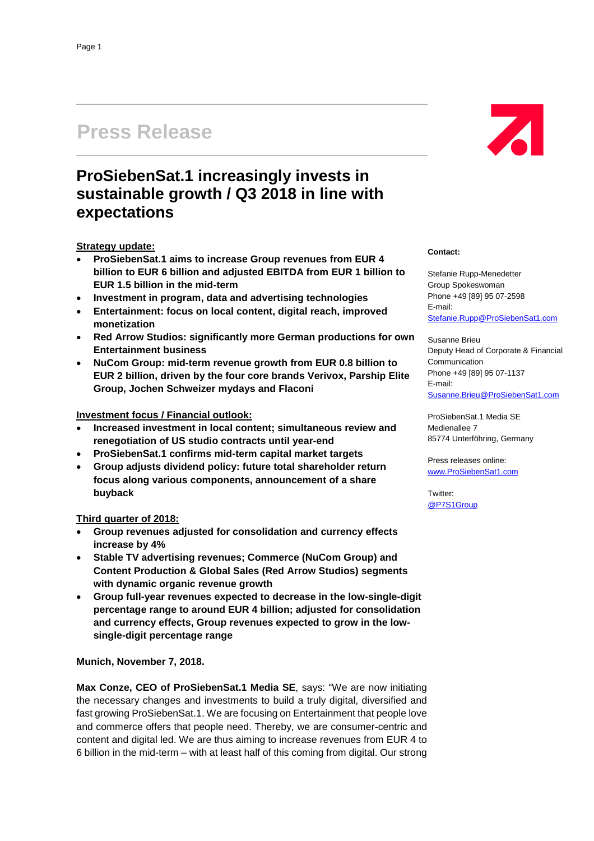# **Press Release**

# **ProSiebenSat.1 increasingly invests in sustainable growth / Q3 2018 in line with expectations**

### **Strategy update:**

- **ProSiebenSat.1 aims to increase Group revenues from EUR 4 billion to EUR 6 billion and adjusted EBITDA from EUR 1 billion to EUR 1.5 billion in the mid-term**
- **Investment in program, data and advertising technologies**
- **Entertainment: focus on local content, digital reach, improved monetization**
- **Red Arrow Studios: significantly more German productions for own Entertainment business**
- **NuCom Group: mid-term revenue growth from EUR 0.8 billion to EUR 2 billion, driven by the four core brands Verivox, Parship Elite Group, Jochen Schweizer mydays and Flaconi**

#### **Investment focus / Financial outlook:**

- **Increased investment in local content; simultaneous review and renegotiation of US studio contracts until year-end**
- **ProSiebenSat.1 confirms mid-term capital market targets**
- **Group adjusts dividend policy: future total shareholder return focus along various components, announcement of a share buyback**

#### **Third quarter of 2018:**

- **Group revenues adjusted for consolidation and currency effects increase by 4%**
- **Stable TV advertising revenues; Commerce (NuCom Group) and Content Production & Global Sales (Red Arrow Studios) segments with dynamic organic revenue growth**
- **Group full-year revenues expected to decrease in the low-single-digit percentage range to around EUR 4 billion; adjusted for consolidation and currency effects, Group revenues expected to grow in the lowsingle-digit percentage range**

**Munich, November 7, 2018.**

**Max Conze, CEO of ProSiebenSat.1 Media SE**, says: "We are now initiating the necessary changes and investments to build a truly digital, diversified and fast growing ProSiebenSat.1. We are focusing on Entertainment that people love and commerce offers that people need. Thereby, we are consumer-centric and content and digital led. We are thus aiming to increase revenues from EUR 4 to 6 billion in the mid-term – with at least half of this coming from digital. Our strong



#### **Contact:**

Stefanie Rupp-Menedetter Group Spokeswoman Phone +49 [89] 95 07-2598 E-mail: [Stefanie.Rupp@ProSiebenSat1.com](mailto:Stefanie.Rupp@ProSiebenSat1.com)

Susanne Brieu Deputy Head of Corporate & Financial **Communication** Phone +49 [89] 95 07-1137 E-mail: [Susanne.Brieu@ProSiebenSat1.com](mailto:Susanne.Brieu@ProSiebenSat1.com)

ProSiebenSat.1 Media SE Medienallee 7 85774 Unterföhring, Germany

Press releases online: [www.ProSiebenSat1.com](http://www.prosiebensat1.com/)

Twitter: [@P7S1Group](https://twitter.com/P7S1Group)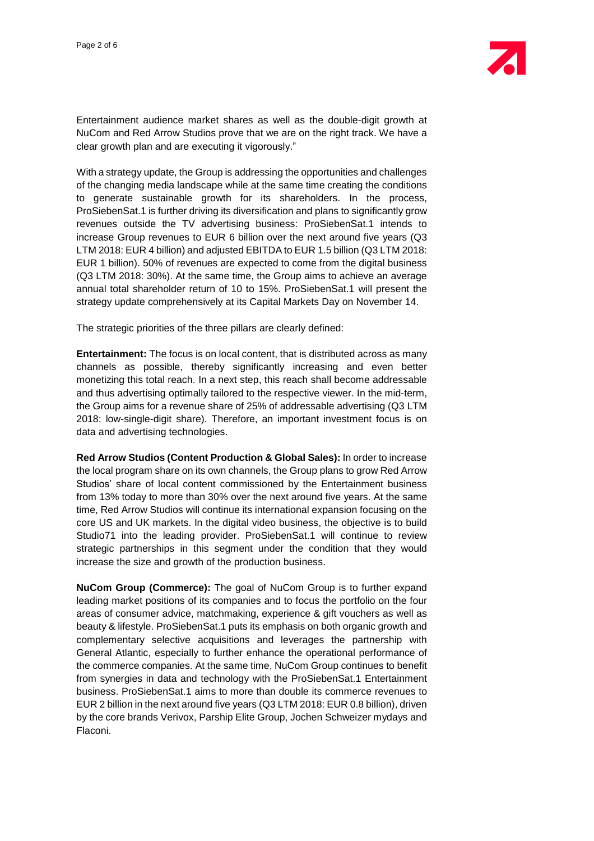

Entertainment audience market shares as well as the double-digit growth at NuCom and Red Arrow Studios prove that we are on the right track. We have a clear growth plan and are executing it vigorously."

With a strategy update, the Group is addressing the opportunities and challenges of the changing media landscape while at the same time creating the conditions to generate sustainable growth for its shareholders. In the process, ProSiebenSat.1 is further driving its diversification and plans to significantly grow revenues outside the TV advertising business: ProSiebenSat.1 intends to increase Group revenues to EUR 6 billion over the next around five years (Q3 LTM 2018: EUR 4 billion) and adjusted EBITDA to EUR 1.5 billion (Q3 LTM 2018: EUR 1 billion). 50% of revenues are expected to come from the digital business (Q3 LTM 2018: 30%). At the same time, the Group aims to achieve an average annual total shareholder return of 10 to 15%. ProSiebenSat.1 will present the strategy update comprehensively at its Capital Markets Day on November 14.

The strategic priorities of the three pillars are clearly defined:

**Entertainment:** The focus is on local content, that is distributed across as many channels as possible, thereby significantly increasing and even better monetizing this total reach. In a next step, this reach shall become addressable and thus advertising optimally tailored to the respective viewer. In the mid-term, the Group aims for a revenue share of 25% of addressable advertising (Q3 LTM 2018: low-single-digit share). Therefore, an important investment focus is on data and advertising technologies.

**Red Arrow Studios (Content Production & Global Sales):** In order to increase the local program share on its own channels, the Group plans to grow Red Arrow Studios' share of local content commissioned by the Entertainment business from 13% today to more than 30% over the next around five years. At the same time, Red Arrow Studios will continue its international expansion focusing on the core US and UK markets. In the digital video business, the objective is to build Studio71 into the leading provider. ProSiebenSat.1 will continue to review strategic partnerships in this segment under the condition that they would increase the size and growth of the production business.

**NuCom Group (Commerce):** The goal of NuCom Group is to further expand leading market positions of its companies and to focus the portfolio on the four areas of consumer advice, matchmaking, experience & gift vouchers as well as beauty & lifestyle. ProSiebenSat.1 puts its emphasis on both organic growth and complementary selective acquisitions and leverages the partnership with General Atlantic, especially to further enhance the operational performance of the commerce companies. At the same time, NuCom Group continues to benefit from synergies in data and technology with the ProSiebenSat.1 Entertainment business. ProSiebenSat.1 aims to more than double its commerce revenues to EUR 2 billion in the next around five years (Q3 LTM 2018: EUR 0.8 billion), driven by the core brands Verivox, Parship Elite Group, Jochen Schweizer mydays and Flaconi.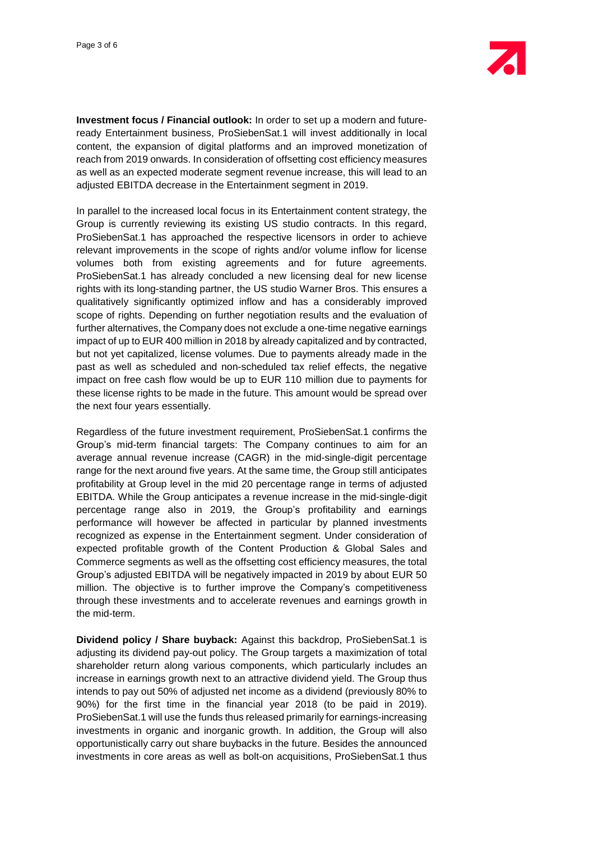**Investment focus / Financial outlook:** In order to set up a modern and futureready Entertainment business, ProSiebenSat.1 will invest additionally in local content, the expansion of digital platforms and an improved monetization of reach from 2019 onwards. In consideration of offsetting cost efficiency measures as well as an expected moderate segment revenue increase, this will lead to an adjusted EBITDA decrease in the Entertainment segment in 2019.

In parallel to the increased local focus in its Entertainment content strategy, the Group is currently reviewing its existing US studio contracts. In this regard, ProSiebenSat.1 has approached the respective licensors in order to achieve relevant improvements in the scope of rights and/or volume inflow for license volumes both from existing agreements and for future agreements. ProSiebenSat.1 has already concluded a new licensing deal for new license rights with its long-standing partner, the US studio Warner Bros. This ensures a qualitatively significantly optimized inflow and has a considerably improved scope of rights. Depending on further negotiation results and the evaluation of further alternatives, the Company does not exclude a one-time negative earnings impact of up to EUR 400 million in 2018 by already capitalized and by contracted, but not yet capitalized, license volumes. Due to payments already made in the past as well as scheduled and non-scheduled tax relief effects, the negative impact on free cash flow would be up to EUR 110 million due to payments for these license rights to be made in the future. This amount would be spread over the next four years essentially.

Regardless of the future investment requirement, ProSiebenSat.1 confirms the Group's mid-term financial targets: The Company continues to aim for an average annual revenue increase (CAGR) in the mid-single-digit percentage range for the next around five years. At the same time, the Group still anticipates profitability at Group level in the mid 20 percentage range in terms of adjusted EBITDA. While the Group anticipates a revenue increase in the mid-single-digit percentage range also in 2019, the Group's profitability and earnings performance will however be affected in particular by planned investments recognized as expense in the Entertainment segment. Under consideration of expected profitable growth of the Content Production & Global Sales and Commerce segments as well as the offsetting cost efficiency measures, the total Group's adjusted EBITDA will be negatively impacted in 2019 by about EUR 50 million. The objective is to further improve the Company's competitiveness through these investments and to accelerate revenues and earnings growth in the mid-term.

**Dividend policy / Share buyback:** Against this backdrop, ProSiebenSat.1 is adjusting its dividend pay-out policy. The Group targets a maximization of total shareholder return along various components, which particularly includes an increase in earnings growth next to an attractive dividend yield. The Group thus intends to pay out 50% of adjusted net income as a dividend (previously 80% to 90%) for the first time in the financial year 2018 (to be paid in 2019). ProSiebenSat.1 will use the funds thus released primarily for earnings-increasing investments in organic and inorganic growth. In addition, the Group will also opportunistically carry out share buybacks in the future. Besides the announced investments in core areas as well as bolt-on acquisitions, ProSiebenSat.1 thus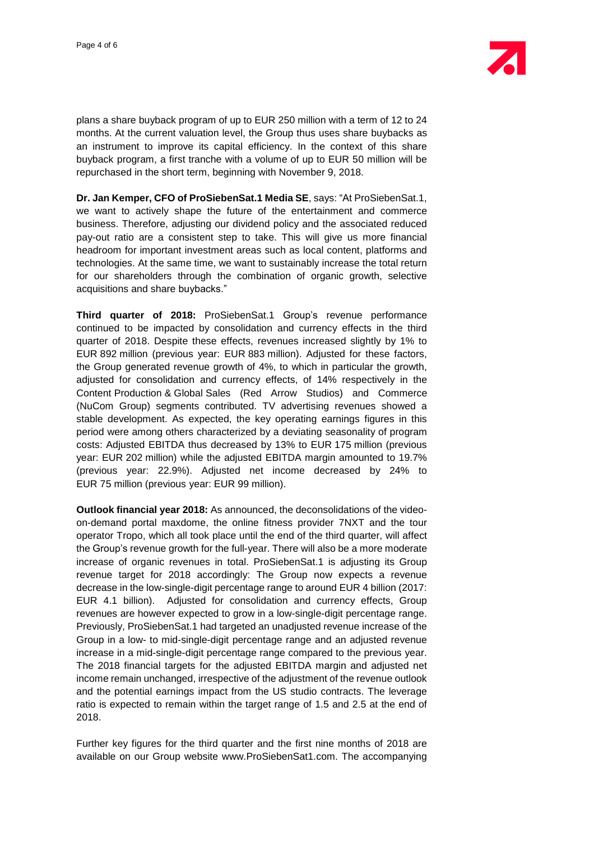

plans a share buyback program of up to EUR 250 million with a term of 12 to 24 months. At the current valuation level, the Group thus uses share buybacks as an instrument to improve its capital efficiency. In the context of this share buyback program, a first tranche with a volume of up to EUR 50 million will be repurchased in the short term, beginning with November 9, 2018.

**Dr. Jan Kemper, CFO of ProSiebenSat.1 Media SE**, says: "At ProSiebenSat.1, we want to actively shape the future of the entertainment and commerce business. Therefore, adjusting our dividend policy and the associated reduced pay-out ratio are a consistent step to take. This will give us more financial headroom for important investment areas such as local content, platforms and technologies. At the same time, we want to sustainably increase the total return for our shareholders through the combination of organic growth, selective acquisitions and share buybacks."

**Third quarter of 2018:** ProSiebenSat.1 Group's revenue performance continued to be impacted by consolidation and currency effects in the third quarter of 2018. Despite these effects, revenues increased slightly by 1% to EUR 892 million (previous year: EUR 883 million). Adjusted for these factors, the Group generated revenue growth of 4%, to which in particular the growth, adjusted for consolidation and currency effects, of 14% respectively in the Content Production & Global Sales (Red Arrow Studios) and Commerce (NuCom Group) segments contributed. TV advertising revenues showed a stable development. As expected, the key operating earnings figures in this period were among others characterized by a deviating seasonality of program costs: Adjusted EBITDA thus decreased by 13% to EUR 175 million (previous year: EUR 202 million) while the adjusted EBITDA margin amounted to 19.7% (previous year: 22.9%). Adjusted net income decreased by 24% to EUR 75 million (previous year: EUR 99 million).

**Outlook financial year 2018:** As announced, the deconsolidations of the videoon-demand portal maxdome, the online fitness provider 7NXT and the tour operator Tropo, which all took place until the end of the third quarter, will affect the Group's revenue growth for the full-year. There will also be a more moderate increase of organic revenues in total. ProSiebenSat.1 is adjusting its Group revenue target for 2018 accordingly: The Group now expects a revenue decrease in the low-single-digit percentage range to around EUR 4 billion (2017: EUR 4.1 billion). Adjusted for consolidation and currency effects, Group revenues are however expected to grow in a low-single-digit percentage range. Previously, ProSiebenSat.1 had targeted an unadjusted revenue increase of the Group in a low- to mid-single-digit percentage range and an adjusted revenue increase in a mid-single-digit percentage range compared to the previous year. The 2018 financial targets for the adjusted EBITDA margin and adjusted net income remain unchanged, irrespective of the adjustment of the revenue outlook and the potential earnings impact from the US studio contracts. The leverage ratio is expected to remain within the target range of 1.5 and 2.5 at the end of 2018.

Further key figures for the third quarter and the first nine months of 2018 are available on our Group website www.ProSiebenSat1.com. The accompanying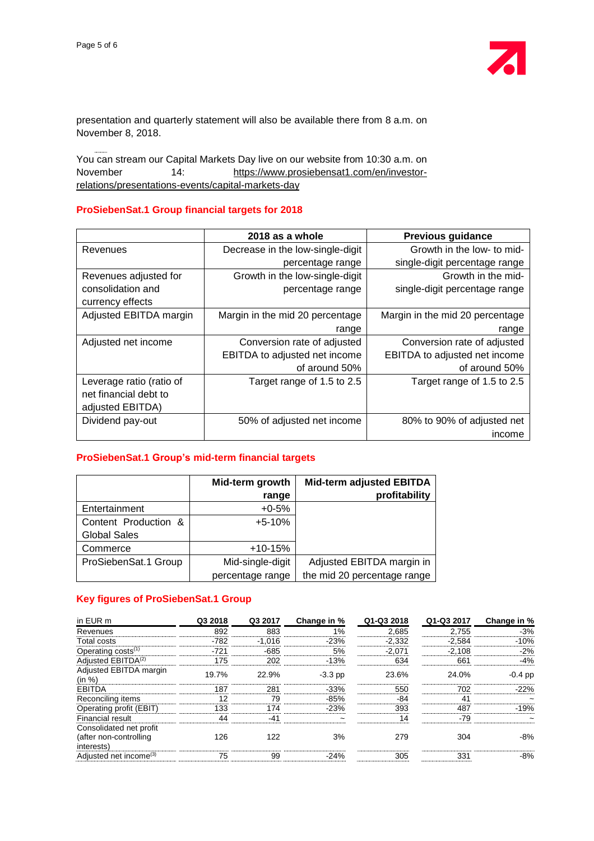

presentation and quarterly statement will also be available there from 8 a.m. on November 8, 2018.

You can stream our Capital Markets Day live on our website from 10:30 a.m. on November 14: [https://www.prosiebensat1.com/en/investor](https://www.prosiebensat1.com/en/investor-relations/presentations-events/capital-markets-day)[relations/presentations-events/capital-markets-day](https://www.prosiebensat1.com/en/investor-relations/presentations-events/capital-markets-day)

#### **ProSiebenSat.1 Group financial targets for 2018**

|                          | 2018 as a whole                  | <b>Previous guidance</b>        |
|--------------------------|----------------------------------|---------------------------------|
| Revenues                 | Decrease in the low-single-digit | Growth in the low- to mid-      |
|                          | percentage range                 | single-digit percentage range   |
| Revenues adjusted for    | Growth in the low-single-digit   | Growth in the mid-              |
| consolidation and        | percentage range                 | single-digit percentage range   |
| currency effects         |                                  |                                 |
| Adjusted EBITDA margin   | Margin in the mid 20 percentage  | Margin in the mid 20 percentage |
|                          | range                            | range                           |
| Adjusted net income      | Conversion rate of adjusted      | Conversion rate of adjusted     |
|                          | EBITDA to adjusted net income    | EBITDA to adjusted net income   |
|                          | of around 50%                    | of around 50%                   |
| Leverage ratio (ratio of | Target range of 1.5 to 2.5       | Target range of 1.5 to 2.5      |
| net financial debt to    |                                  |                                 |
| adjusted EBITDA)         |                                  |                                 |
| Dividend pay-out         | 50% of adjusted net income       | 80% to 90% of adjusted net      |
|                          |                                  | income                          |

#### **ProSiebenSat.1 Group's mid-term financial targets**

|                      | Mid-term growth  | <b>Mid-term adjusted EBITDA</b> |
|----------------------|------------------|---------------------------------|
|                      | range            | profitability                   |
| Entertainment        | $+0.5%$          |                                 |
| Content Production & | $+5-10%$         |                                 |
| <b>Global Sales</b>  |                  |                                 |
| Commerce             | $+10-15%$        |                                 |
| ProSiebenSat.1 Group | Mid-single-digit | Adjusted EBITDA margin in       |
|                      | percentage range | the mid 20 percentage range     |

## **Key figures of ProSiebenSat.1 Group**

| in EUR m                                                         | Q3 2018 | Q3 2017  | Change in % | Q1-Q3 2018 | Q1-Q3 2017 | Change in % |
|------------------------------------------------------------------|---------|----------|-------------|------------|------------|-------------|
| Revenues                                                         | 892     | 883      | 1%          | 2,685      | 2,755      | $-3%$       |
| <b>Total costs</b>                                               | $-782$  | $-1.016$ | $-23%$      | $-2,332$   | $-2,584$   | $-10%$      |
| Operating $costs^{(1)}$                                          | $-721$  | $-685$   | 5%          | $-2,071$   | $-2,108$   | $-2%$       |
| Adjusted EBITDA <sup>(2)</sup>                                   | 175     | 202      | $-13%$      | 634        | 661        | $-4%$       |
| Adjusted EBITDA margin<br>(in %)                                 | 19.7%   | 22.9%    | $-3.3$ pp   | 23.6%      | 24.0%      | $-0.4$ pp   |
| <b>EBITDA</b>                                                    | 187     | 281      | $-33%$      | 550        | 702        | $-22%$      |
| Reconciling items                                                | 12      | 79       | $-85%$      | -84        | 41         |             |
| Operating profit (EBIT)                                          | 133     | 174      | $-23%$      | 393        | 487        | $-19%$      |
| Financial result                                                 | 44      | $-41$    |             | 14         | $-79$      |             |
| Consolidated net profit<br>(after non-controlling)<br>interests) | 126     | 122      | 3%          | 279        | 304        | $-8%$       |
| Adjusted net income <sup>(3)</sup>                               | 75      | 99       | $-24%$      | 305        | 331        | $-8%$       |